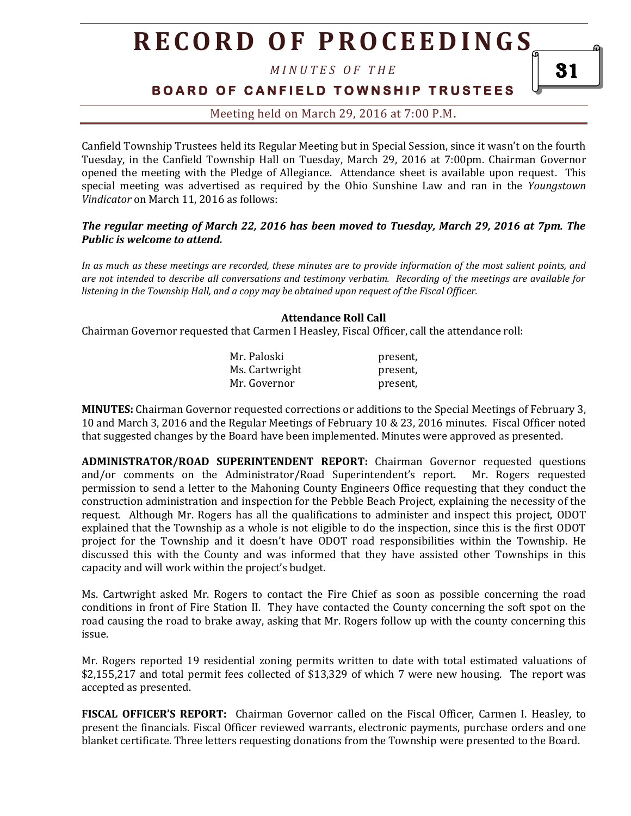*M I N U T E S O F T H E* 

**BOARD OF CANFIELD TOWNSHIP TRUSTEES** 

## Meeting held on March 29, 2016 at 7:00 P.M**.**

Canfield Township Trustees held its Regular Meeting but in Special Session, since it wasn't on the fourth Tuesday, in the Canfield Township Hall on Tuesday, March 29, 2016 at 7:00pm. Chairman Governor opened the meeting with the Pledge of Allegiance. Attendance sheet is available upon request. This special meeting was advertised as required by the Ohio Sunshine Law and ran in the *Youngstown Vindicator* on March 11, 2016 as follows:

### *The regular meeting of March 22, 2016 has been moved to Tuesday, March 29, 2016 at 7pm. The Public is welcome to attend.*

*In as much as these meetings are recorded, these minutes are to provide information of the most salient points, and are not intended to describe all conversations and testimony verbatim. Recording of the meetings are available for listening in the Township Hall, and a copy may be obtained upon request of the Fiscal Officer.* 

### **Attendance Roll Call**

Chairman Governor requested that Carmen I Heasley, Fiscal Officer, call the attendance roll:

| Mr. Paloski    | present, |
|----------------|----------|
| Ms. Cartwright | present, |
| Mr. Governor   | present, |

**MINUTES:** Chairman Governor requested corrections or additions to the Special Meetings of February 3, 10 and March 3, 2016 and the Regular Meetings of February 10 & 23, 2016 minutes. Fiscal Officer noted that suggested changes by the Board have been implemented. Minutes were approved as presented.

**ADMINISTRATOR/ROAD SUPERINTENDENT REPORT:** Chairman Governor requested questions and/or comments on the Administrator/Road Superintendent's report. Mr. Rogers requested permission to send a letter to the Mahoning County Engineers Office requesting that they conduct the construction administration and inspection for the Pebble Beach Project, explaining the necessity of the request. Although Mr. Rogers has all the qualifications to administer and inspect this project, ODOT explained that the Township as a whole is not eligible to do the inspection, since this is the first ODOT project for the Township and it doesn't have ODOT road responsibilities within the Township. He discussed this with the County and was informed that they have assisted other Townships in this capacity and will work within the project's budget.

Ms. Cartwright asked Mr. Rogers to contact the Fire Chief as soon as possible concerning the road conditions in front of Fire Station II. They have contacted the County concerning the soft spot on the road causing the road to brake away, asking that Mr. Rogers follow up with the county concerning this issue.

Mr. Rogers reported 19 residential zoning permits written to date with total estimated valuations of \$2,155,217 and total permit fees collected of \$13,329 of which 7 were new housing. The report was accepted as presented.

**FISCAL OFFICER'S REPORT:** Chairman Governor called on the Fiscal Officer, Carmen I. Heasley, to present the financials. Fiscal Officer reviewed warrants, electronic payments, purchase orders and one blanket certificate. Three letters requesting donations from the Township were presented to the Board.

31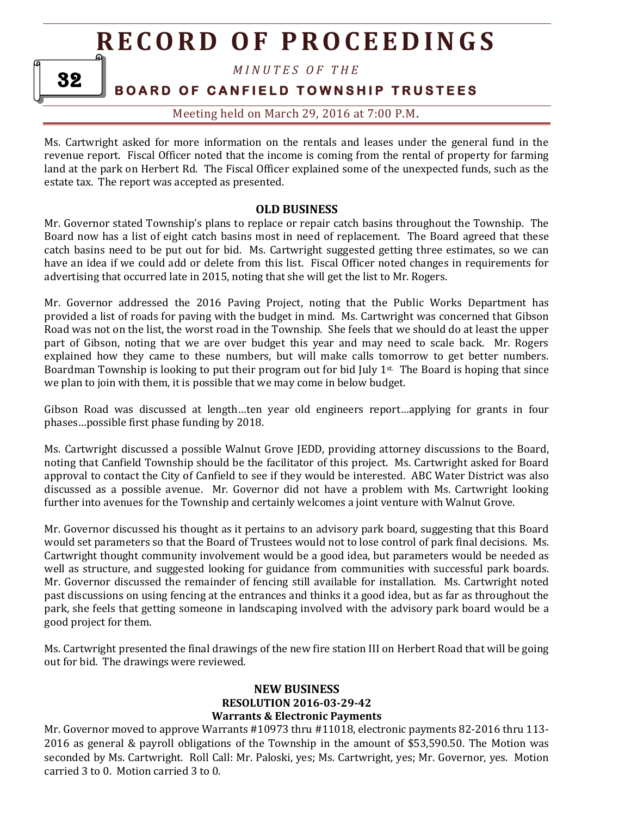*M I N U T E S O F T H E* 

## **BOARD OF CANFIELD TOWNSHIP TRUSTEES**

Meeting held on March 29, 2016 at 7:00 P.M**.**

Ms. Cartwright asked for more information on the rentals and leases under the general fund in the revenue report. Fiscal Officer noted that the income is coming from the rental of property for farming land at the park on Herbert Rd. The Fiscal Officer explained some of the unexpected funds, such as the estate tax. The report was accepted as presented.

### **OLD BUSINESS**

Mr. Governor stated Township's plans to replace or repair catch basins throughout the Township. The Board now has a list of eight catch basins most in need of replacement. The Board agreed that these catch basins need to be put out for bid. Ms. Cartwright suggested getting three estimates, so we can have an idea if we could add or delete from this list. Fiscal Officer noted changes in requirements for advertising that occurred late in 2015, noting that she will get the list to Mr. Rogers.

Mr. Governor addressed the 2016 Paving Project, noting that the Public Works Department has provided a list of roads for paving with the budget in mind. Ms. Cartwright was concerned that Gibson Road was not on the list, the worst road in the Township. She feels that we should do at least the upper part of Gibson, noting that we are over budget this year and may need to scale back. Mr. Rogers explained how they came to these numbers, but will make calls tomorrow to get better numbers. Boardman Township is looking to put their program out for bid July  $1^{st}$ . The Board is hoping that since we plan to join with them, it is possible that we may come in below budget.

Gibson Road was discussed at length…ten year old engineers report…applying for grants in four phases…possible first phase funding by 2018.

Ms. Cartwright discussed a possible Walnut Grove JEDD, providing attorney discussions to the Board, noting that Canfield Township should be the facilitator of this project. Ms. Cartwright asked for Board approval to contact the City of Canfield to see if they would be interested. ABC Water District was also discussed as a possible avenue. Mr. Governor did not have a problem with Ms. Cartwright looking further into avenues for the Township and certainly welcomes a joint venture with Walnut Grove.

Mr. Governor discussed his thought as it pertains to an advisory park board, suggesting that this Board would set parameters so that the Board of Trustees would not to lose control of park final decisions. Ms. Cartwright thought community involvement would be a good idea, but parameters would be needed as well as structure, and suggested looking for guidance from communities with successful park boards. Mr. Governor discussed the remainder of fencing still available for installation. Ms. Cartwright noted past discussions on using fencing at the entrances and thinks it a good idea, but as far as throughout the park, she feels that getting someone in landscaping involved with the advisory park board would be a good project for them.

Ms. Cartwright presented the final drawings of the new fire station III on Herbert Road that will be going out for bid. The drawings were reviewed.

### **NEW BUSINESS RESOLUTION 2016-03-29-42 Warrants & Electronic Payments**

Mr. Governor moved to approve Warrants #10973 thru #11018, electronic payments 82-2016 thru 113- 2016 as general & payroll obligations of the Township in the amount of \$53,590.50. The Motion was seconded by Ms. Cartwright. Roll Call: Mr. Paloski, yes; Ms. Cartwright, yes; Mr. Governor, yes. Motion carried 3 to 0. Motion carried 3 to 0.

32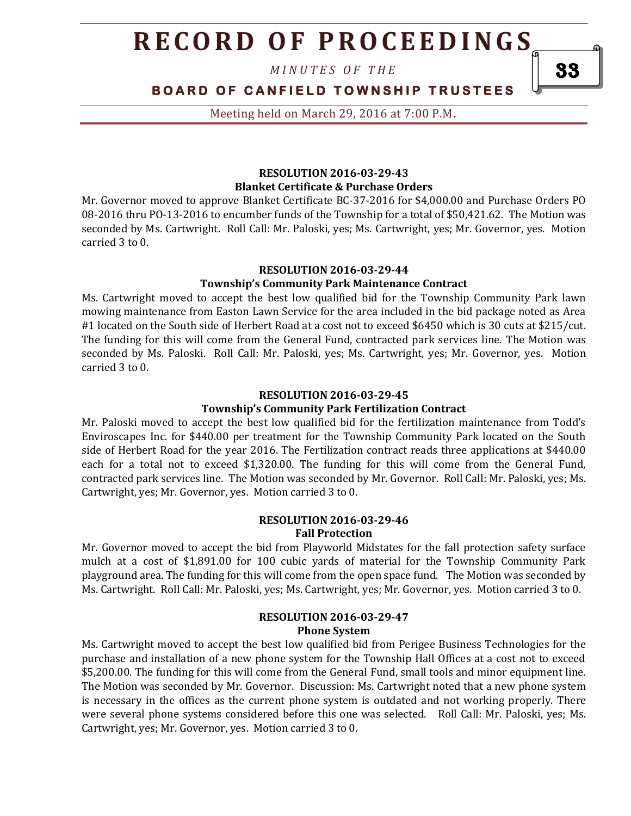*M I N U T E S O F T H E* 

## **BOARD OF CANFIELD TOWNSHIP TRUSTEES**

Meeting held on March 29, 2016 at 7:00 P.M**.**

#### **RESOLUTION 2016-03-29-43 Blanket Certificate & Purchase Orders**

Mr. Governor moved to approve Blanket Certificate BC-37-2016 for \$4,000.00 and Purchase Orders PO 08-2016 thru PO-13-2016 to encumber funds of the Township for a total of \$50,421.62. The Motion was seconded by Ms. Cartwright. Roll Call: Mr. Paloski, yes; Ms. Cartwright, yes; Mr. Governor, yes. Motion carried 3 to 0.

#### **RESOLUTION 2016-03-29-44**

#### **Township's Community Park Maintenance Contract**

Ms. Cartwright moved to accept the best low qualified bid for the Township Community Park lawn mowing maintenance from Easton Lawn Service for the area included in the bid package noted as Area #1 located on the South side of Herbert Road at a cost not to exceed \$6450 which is 30 cuts at \$215/cut. The funding for this will come from the General Fund, contracted park services line. The Motion was seconded by Ms. Paloski. Roll Call: Mr. Paloski, yes; Ms. Cartwright, yes; Mr. Governor, yes. Motion carried 3 to 0.

#### **RESOLUTION 2016-03-29-45**

#### **Township's Community Park Fertilization Contract**

Mr. Paloski moved to accept the best low qualified bid for the fertilization maintenance from Todd's Enviroscapes Inc. for \$440.00 per treatment for the Township Community Park located on the South side of Herbert Road for the year 2016. The Fertilization contract reads three applications at \$440.00 each for a total not to exceed \$1,320.00. The funding for this will come from the General Fund, contracted park services line. The Motion was seconded by Mr. Governor. Roll Call: Mr. Paloski, yes; Ms. Cartwright, yes; Mr. Governor, yes. Motion carried 3 to 0.

#### **RESOLUTION 2016-03-29-46 Fall Protection**

Mr. Governor moved to accept the bid from Playworld Midstates for the fall protection safety surface mulch at a cost of \$1,891.00 for 100 cubic yards of material for the Township Community Park playground area. The funding for this will come from the open space fund. The Motion was seconded by Ms. Cartwright. Roll Call: Mr. Paloski, yes; Ms. Cartwright, yes; Mr. Governor, yes. Motion carried 3 to 0.

#### **RESOLUTION 2016-03-29-47 Phone System**

Ms. Cartwright moved to accept the best low qualified bid from Perigee Business Technologies for the purchase and installation of a new phone system for the Township Hall Offices at a cost not to exceed \$5,200.00. The funding for this will come from the General Fund, small tools and minor equipment line. The Motion was seconded by Mr. Governor. Discussion: Ms. Cartwright noted that a new phone system is necessary in the offices as the current phone system is outdated and not working properly. There were several phone systems considered before this one was selected. Roll Call: Mr. Paloski, yes; Ms. Cartwright, yes; Mr. Governor, yes. Motion carried 3 to 0.

33